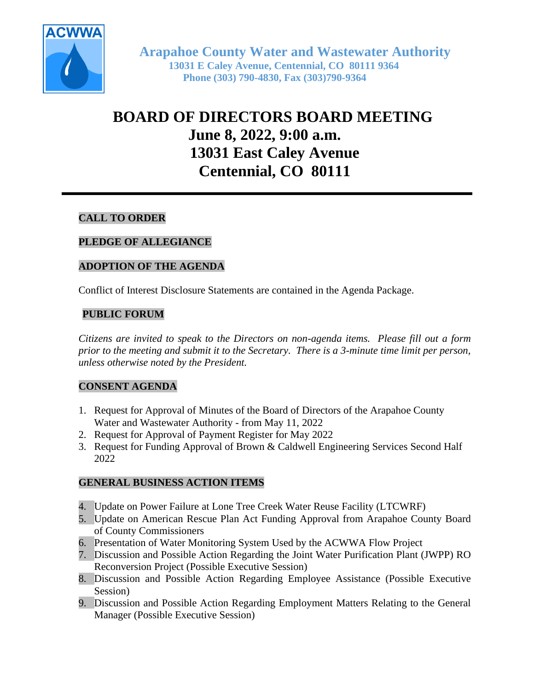

# **BOARD OF DIRECTORS BOARD MEETING June 8, 2022, 9:00 a.m. 13031 East Caley Avenue Centennial, CO 80111**

# **CALL TO ORDER**

# **PLEDGE OF ALLEGIANCE**

## **ADOPTION OF THE AGENDA**

Conflict of Interest Disclosure Statements are contained in the Agenda Package.

## **PUBLIC FORUM**

*Citizens are invited to speak to the Directors on non-agenda items. Please fill out a form prior to the meeting and submit it to the Secretary. There is a 3-minute time limit per person, unless otherwise noted by the President.*

## **CONSENT AGENDA**

- 1. Request for Approval of Minutes of the Board of Directors of the Arapahoe County Water and Wastewater Authority - from May 11, 2022
- 2. Request for Approval of Payment Register for May 2022
- 3. Request for Funding Approval of Brown & Caldwell Engineering Services Second Half 2022

#### **GENERAL BUSINESS ACTION ITEMS**

- 4. Update on Power Failure at Lone Tree Creek Water Reuse Facility (LTCWRF)
- 5. Update on American Rescue Plan Act Funding Approval from Arapahoe County Board of County Commissioners
- 6. Presentation of Water Monitoring System Used by the ACWWA Flow Project
- 7. Discussion and Possible Action Regarding the Joint Water Purification Plant (JWPP) RO Reconversion Project (Possible Executive Session)
- 8. Discussion and Possible Action Regarding Employee Assistance (Possible Executive Session)
- 9. Discussion and Possible Action Regarding Employment Matters Relating to the General Manager (Possible Executive Session)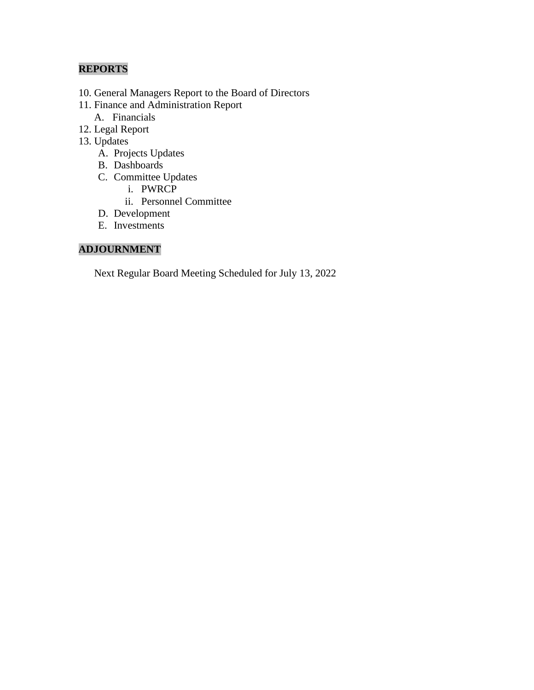# **REPORTS**

- 10. General Managers Report to the Board of Directors
- 11. Finance and Administration Report
	- A. Financials
- 12. Legal Report
- 13. Updates
	- A. Projects Updates
	- B. Dashboards
	- C. Committee Updates
		- i. PWRCP
		- ii. Personnel Committee
	- D. Development
	- E. Investments

## **ADJOURNMENT**

Next Regular Board Meeting Scheduled for July 13, 2022